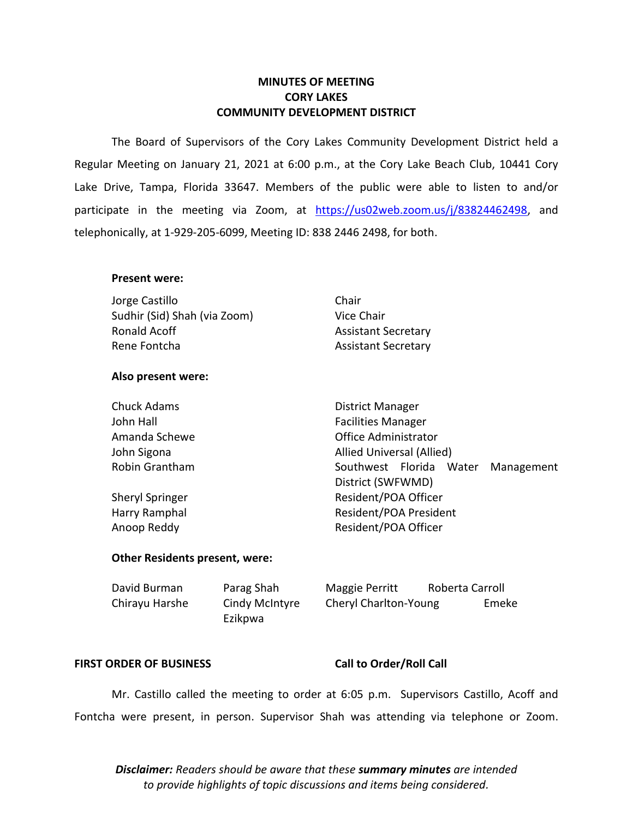### **MINUTES OF MEETING CORY LAKES COMMUNITY DEVELOPMENT DISTRICT**

The Board of Supervisors of the Cory Lakes Community Development District held a Regular Meeting on January 21, 2021 at 6:00 p.m., at the Cory Lake Beach Club, 10441 Cory Lake Drive, Tampa, Florida 33647. Members of the public were able to listen to and/or participate in the meeting via Zoom, at [https://us02web.zoom.us/j/83824462498,](https://us02web.zoom.us/j/83824462498) and telephonically, at 1-929-205-6099, Meeting ID: 838 2446 2498, for both.

### **Present were:**

| Jorge Castillo               | Chair                      |
|------------------------------|----------------------------|
| Sudhir (Sid) Shah (via Zoom) | Vice Chair                 |
| Ronald Acoff                 | <b>Assistant Secretary</b> |
| Rene Fontcha                 | <b>Assistant Secretary</b> |

### **Also present were:**

Chuck Adams **District Manager** John Hall Facilities Manager Amanda Schewe **Contract Contract Contract Contract Contract Contract Contract Contract Contract Contract Contract Contract Contract Contract Contract Contract Contract Contract Contract Contract Contract Contract Contract** John Sigona **Allied Universal** (Allied) Robin Grantham The Southwest Florida Water Management

Sheryl Springer **Resident/POA Officer** Resident/POA Officer Harry Ramphal **Resident/POA President** Anoop Reddy **Resident/POA Officer** 

### **Other Residents present, were:**

| David Burman   | Parag Shah     | Maggie Perritt        | Roberta Carroll |       |
|----------------|----------------|-----------------------|-----------------|-------|
| Chirayu Harshe | Cindy McIntyre | Cheryl Charlton-Young |                 | Emeke |
|                | Ezikpwa        |                       |                 |       |

### **FIRST ORDER OF BUSINESS Call to Order/Roll Call**

District (SWFWMD)

Mr. Castillo called the meeting to order at 6:05 p.m. Supervisors Castillo, Acoff and Fontcha were present, in person. Supervisor Shah was attending via telephone or Zoom.

*Disclaimer: Readers should be aware that these summary minutes are intended to provide highlights of topic discussions and items being considered.*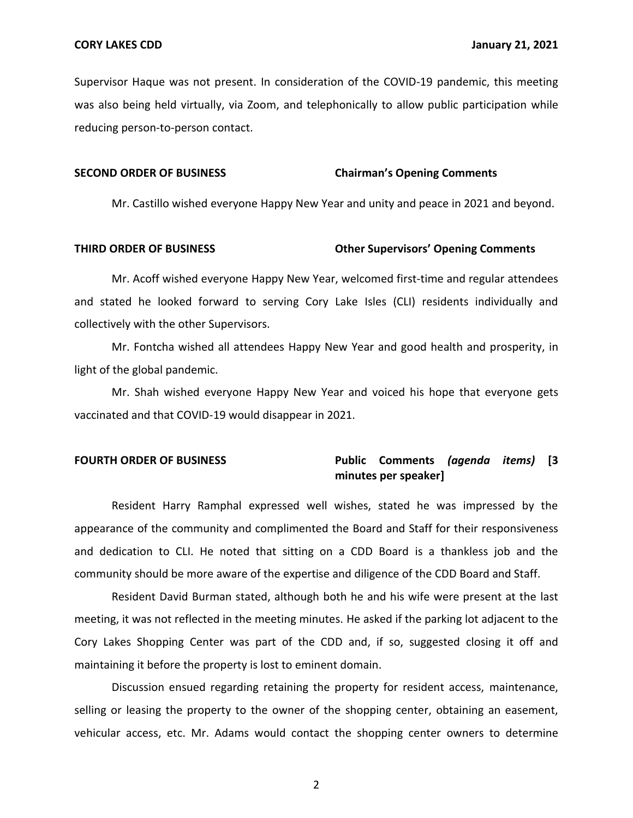Supervisor Haque was not present. In consideration of the COVID-19 pandemic, this meeting was also being held virtually, via Zoom, and telephonically to allow public participation while reducing person-to-person contact.

### **SECOND ORDER OF BUSINESS Chairman's Opening Comments**

Mr. Castillo wished everyone Happy New Year and unity and peace in 2021 and beyond.

### **THIRD ORDER OF BUSINESS Other Supervisors' Opening Comments**

Mr. Acoff wished everyone Happy New Year, welcomed first-time and regular attendees and stated he looked forward to serving Cory Lake Isles (CLI) residents individually and collectively with the other Supervisors.

Mr. Fontcha wished all attendees Happy New Year and good health and prosperity, in light of the global pandemic.

Mr. Shah wished everyone Happy New Year and voiced his hope that everyone gets vaccinated and that COVID-19 would disappear in 2021.

### **FOURTH ORDER OF BUSINESS Public Comments** *(agenda items)* **[3**

## **minutes per speaker]**

Resident Harry Ramphal expressed well wishes, stated he was impressed by the appearance of the community and complimented the Board and Staff for their responsiveness and dedication to CLI. He noted that sitting on a CDD Board is a thankless job and the community should be more aware of the expertise and diligence of the CDD Board and Staff.

Resident David Burman stated, although both he and his wife were present at the last meeting, it was not reflected in the meeting minutes. He asked if the parking lot adjacent to the Cory Lakes Shopping Center was part of the CDD and, if so, suggested closing it off and maintaining it before the property is lost to eminent domain.

Discussion ensued regarding retaining the property for resident access, maintenance, selling or leasing the property to the owner of the shopping center, obtaining an easement, vehicular access, etc. Mr. Adams would contact the shopping center owners to determine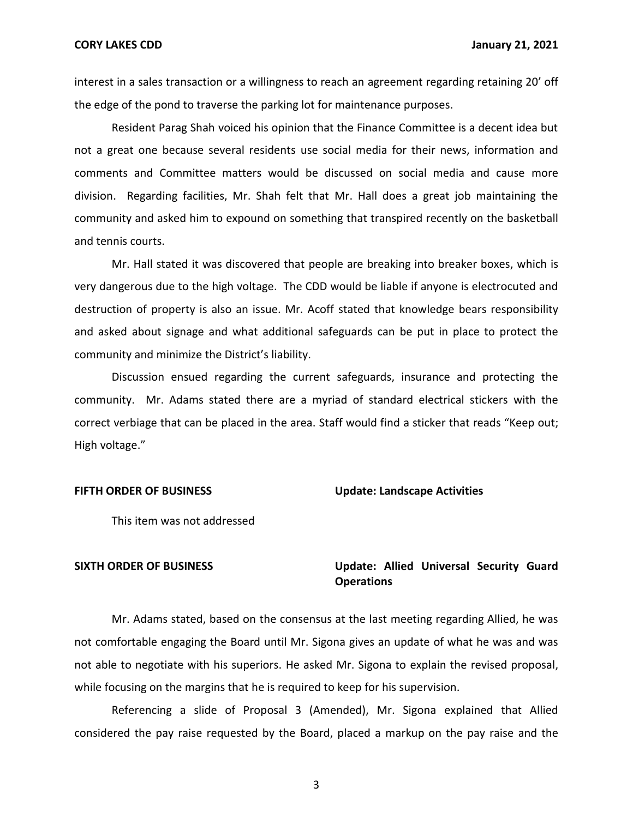interest in a sales transaction or a willingness to reach an agreement regarding retaining 20' off the edge of the pond to traverse the parking lot for maintenance purposes.

Resident Parag Shah voiced his opinion that the Finance Committee is a decent idea but not a great one because several residents use social media for their news, information and comments and Committee matters would be discussed on social media and cause more division. Regarding facilities, Mr. Shah felt that Mr. Hall does a great job maintaining the community and asked him to expound on something that transpired recently on the basketball and tennis courts.

Mr. Hall stated it was discovered that people are breaking into breaker boxes, which is very dangerous due to the high voltage. The CDD would be liable if anyone is electrocuted and destruction of property is also an issue. Mr. Acoff stated that knowledge bears responsibility and asked about signage and what additional safeguards can be put in place to protect the community and minimize the District's liability.

Discussion ensued regarding the current safeguards, insurance and protecting the community. Mr. Adams stated there are a myriad of standard electrical stickers with the correct verbiage that can be placed in the area. Staff would find a sticker that reads "Keep out; High voltage."

**FIFTH ORDER OF BUSINESS Update: Landscape Activities**

This item was not addressed

### **SIXTH ORDER OF BUSINESS Update: Allied Universal Security Guard Operations**

Mr. Adams stated, based on the consensus at the last meeting regarding Allied, he was not comfortable engaging the Board until Mr. Sigona gives an update of what he was and was not able to negotiate with his superiors. He asked Mr. Sigona to explain the revised proposal, while focusing on the margins that he is required to keep for his supervision.

Referencing a slide of Proposal 3 (Amended), Mr. Sigona explained that Allied considered the pay raise requested by the Board, placed a markup on the pay raise and the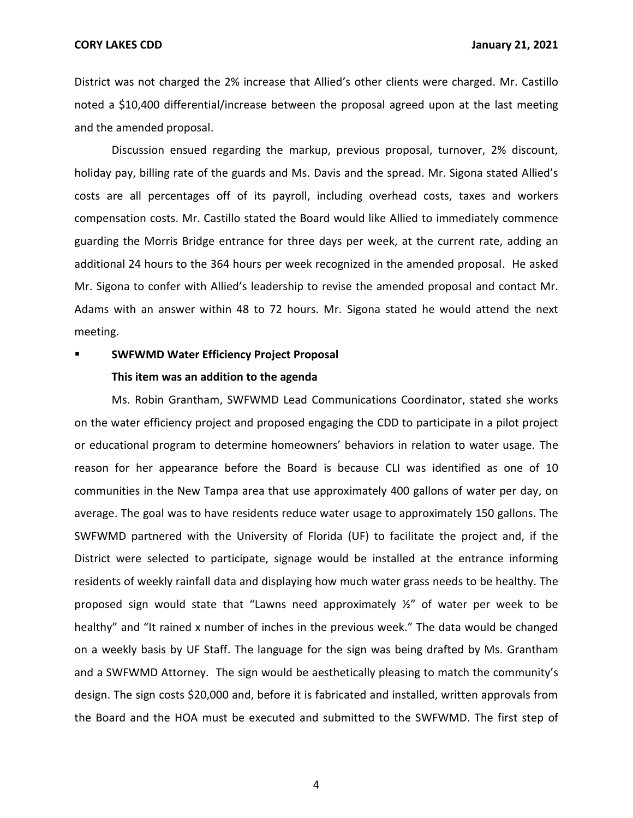**CORY LAKES CDD January 21, 2021**

District was not charged the 2% increase that Allied's other clients were charged. Mr. Castillo noted a \$10,400 differential/increase between the proposal agreed upon at the last meeting and the amended proposal.

Discussion ensued regarding the markup, previous proposal, turnover, 2% discount, holiday pay, billing rate of the guards and Ms. Davis and the spread. Mr. Sigona stated Allied's costs are all percentages off of its payroll, including overhead costs, taxes and workers compensation costs. Mr. Castillo stated the Board would like Allied to immediately commence guarding the Morris Bridge entrance for three days per week, at the current rate, adding an additional 24 hours to the 364 hours per week recognized in the amended proposal. He asked Mr. Sigona to confer with Allied's leadership to revise the amended proposal and contact Mr. Adams with an answer within 48 to 72 hours. Mr. Sigona stated he would attend the next meeting.

### **SWFWMD Water Efficiency Project Proposal**

### **This item was an addition to the agenda**

Ms. Robin Grantham, SWFWMD Lead Communications Coordinator, stated she works on the water efficiency project and proposed engaging the CDD to participate in a pilot project or educational program to determine homeowners' behaviors in relation to water usage. The reason for her appearance before the Board is because CLI was identified as one of 10 communities in the New Tampa area that use approximately 400 gallons of water per day, on average. The goal was to have residents reduce water usage to approximately 150 gallons. The SWFWMD partnered with the University of Florida (UF) to facilitate the project and, if the District were selected to participate, signage would be installed at the entrance informing residents of weekly rainfall data and displaying how much water grass needs to be healthy. The proposed sign would state that "Lawns need approximately ½" of water per week to be healthy" and "It rained x number of inches in the previous week." The data would be changed on a weekly basis by UF Staff. The language for the sign was being drafted by Ms. Grantham and a SWFWMD Attorney. The sign would be aesthetically pleasing to match the community's design. The sign costs \$20,000 and, before it is fabricated and installed, written approvals from the Board and the HOA must be executed and submitted to the SWFWMD. The first step of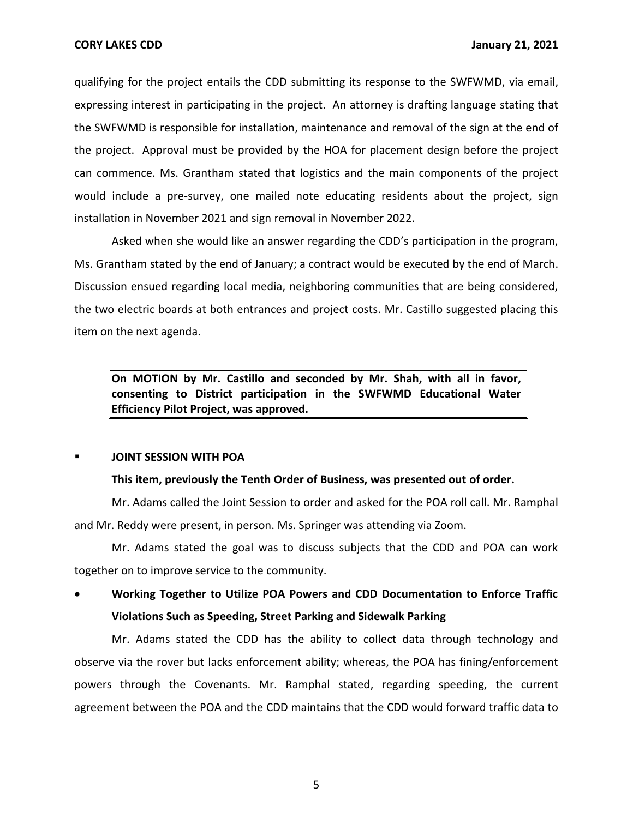qualifying for the project entails the CDD submitting its response to the SWFWMD, via email, expressing interest in participating in the project. An attorney is drafting language stating that the SWFWMD is responsible for installation, maintenance and removal of the sign at the end of the project. Approval must be provided by the HOA for placement design before the project can commence. Ms. Grantham stated that logistics and the main components of the project would include a pre-survey, one mailed note educating residents about the project, sign installation in November 2021 and sign removal in November 2022.

Asked when she would like an answer regarding the CDD's participation in the program, Ms. Grantham stated by the end of January; a contract would be executed by the end of March. Discussion ensued regarding local media, neighboring communities that are being considered, the two electric boards at both entrances and project costs. Mr. Castillo suggested placing this item on the next agenda.

**On MOTION by Mr. Castillo and seconded by Mr. Shah, with all in favor, consenting to District participation in the SWFWMD Educational Water Efficiency Pilot Project, was approved.**

### **JOINT SESSION WITH POA**

### **This item, previously the Tenth Order of Business, was presented out of order.**

Mr. Adams called the Joint Session to order and asked for the POA roll call. Mr. Ramphal and Mr. Reddy were present, in person. Ms. Springer was attending via Zoom.

Mr. Adams stated the goal was to discuss subjects that the CDD and POA can work together on to improve service to the community.

• **Working Together to Utilize POA Powers and CDD Documentation to Enforce Traffic Violations Such as Speeding, Street Parking and Sidewalk Parking**

Mr. Adams stated the CDD has the ability to collect data through technology and observe via the rover but lacks enforcement ability; whereas, the POA has fining/enforcement powers through the Covenants. Mr. Ramphal stated, regarding speeding, the current agreement between the POA and the CDD maintains that the CDD would forward traffic data to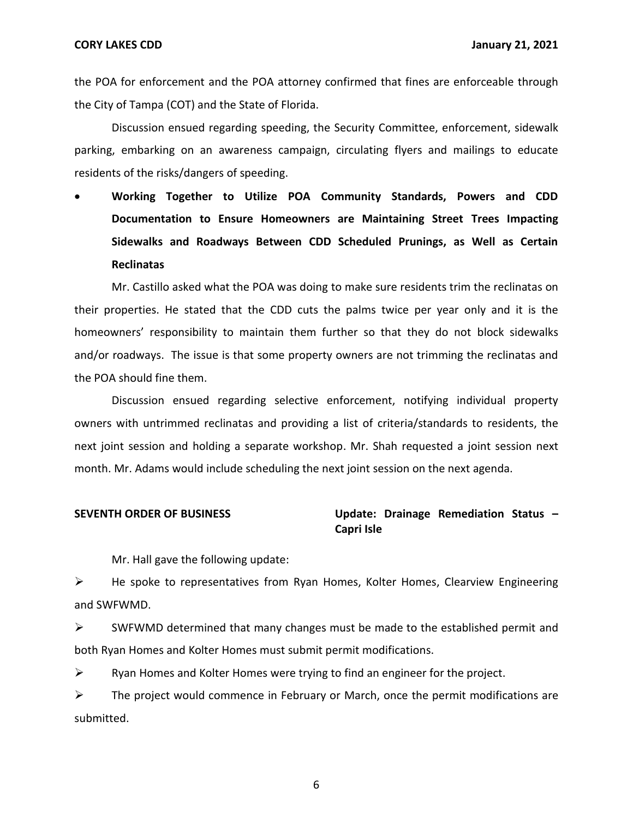the POA for enforcement and the POA attorney confirmed that fines are enforceable through the City of Tampa (COT) and the State of Florida.

Discussion ensued regarding speeding, the Security Committee, enforcement, sidewalk parking, embarking on an awareness campaign, circulating flyers and mailings to educate residents of the risks/dangers of speeding.

• **Working Together to Utilize POA Community Standards, Powers and CDD Documentation to Ensure Homeowners are Maintaining Street Trees Impacting Sidewalks and Roadways Between CDD Scheduled Prunings, as Well as Certain Reclinatas**

Mr. Castillo asked what the POA was doing to make sure residents trim the reclinatas on their properties. He stated that the CDD cuts the palms twice per year only and it is the homeowners' responsibility to maintain them further so that they do not block sidewalks and/or roadways. The issue is that some property owners are not trimming the reclinatas and the POA should fine them.

Discussion ensued regarding selective enforcement, notifying individual property owners with untrimmed reclinatas and providing a list of criteria/standards to residents, the next joint session and holding a separate workshop. Mr. Shah requested a joint session next month. Mr. Adams would include scheduling the next joint session on the next agenda.

### **SEVENTH ORDER OF BUSINESS Update: Drainage Remediation Status – Capri Isle**

Mr. Hall gave the following update:

➢ He spoke to representatives from Ryan Homes, Kolter Homes, Clearview Engineering and SWFWMD.

 $\triangleright$  SWFWMD determined that many changes must be made to the established permit and both Ryan Homes and Kolter Homes must submit permit modifications.

 $\triangleright$  Ryan Homes and Kolter Homes were trying to find an engineer for the project.

 $\triangleright$  The project would commence in February or March, once the permit modifications are submitted.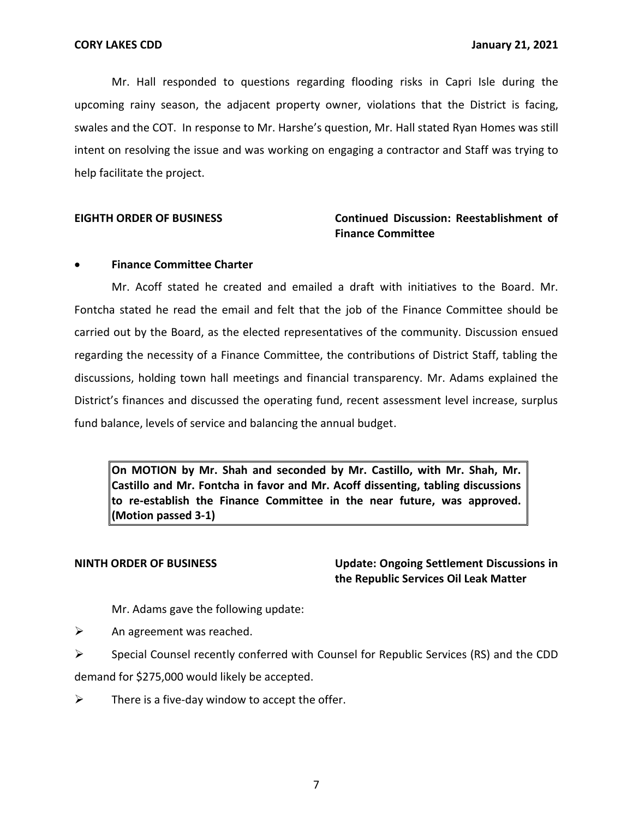Mr. Hall responded to questions regarding flooding risks in Capri Isle during the upcoming rainy season, the adjacent property owner, violations that the District is facing, swales and the COT. In response to Mr. Harshe's question, Mr. Hall stated Ryan Homes was still intent on resolving the issue and was working on engaging a contractor and Staff was trying to help facilitate the project.

### **EIGHTH ORDER OF BUSINESS Continued Discussion: Reestablishment of Finance Committee**

### • **Finance Committee Charter**

Mr. Acoff stated he created and emailed a draft with initiatives to the Board. Mr. Fontcha stated he read the email and felt that the job of the Finance Committee should be carried out by the Board, as the elected representatives of the community. Discussion ensued regarding the necessity of a Finance Committee, the contributions of District Staff, tabling the discussions, holding town hall meetings and financial transparency. Mr. Adams explained the District's finances and discussed the operating fund, recent assessment level increase, surplus fund balance, levels of service and balancing the annual budget.

**On MOTION by Mr. Shah and seconded by Mr. Castillo, with Mr. Shah, Mr. Castillo and Mr. Fontcha in favor and Mr. Acoff dissenting, tabling discussions to re-establish the Finance Committee in the near future, was approved. (Motion passed 3-1)**

**NINTH ORDER OF BUSINESS Update: Ongoing Settlement Discussions in the Republic Services Oil Leak Matter**

Mr. Adams gave the following update:

 $\triangleright$  An agreement was reached.

 $\triangleright$  Special Counsel recently conferred with Counsel for Republic Services (RS) and the CDD

demand for \$275,000 would likely be accepted.

 $\triangleright$  There is a five-day window to accept the offer.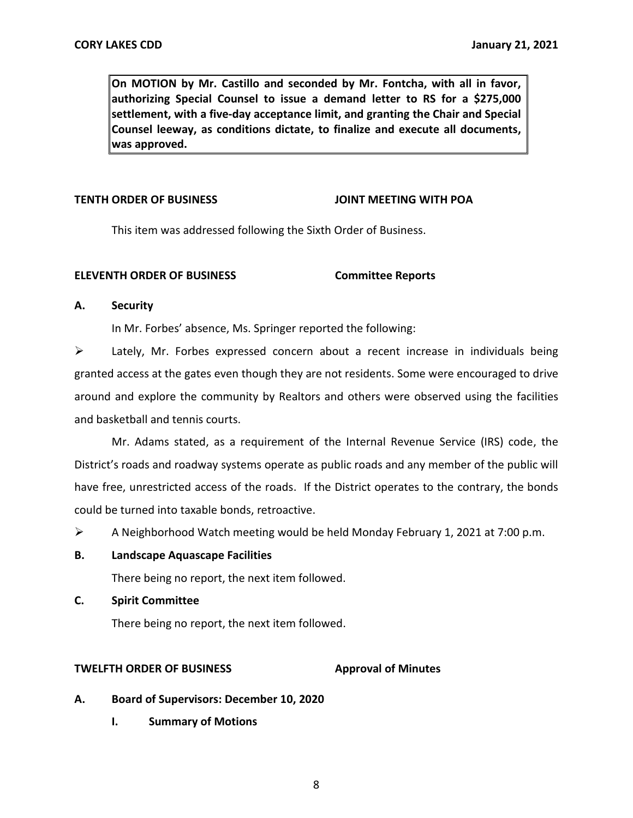**On MOTION by Mr. Castillo and seconded by Mr. Fontcha, with all in favor, authorizing Special Counsel to issue a demand letter to RS for a \$275,000 settlement, with a five-day acceptance limit, and granting the Chair and Special Counsel leeway, as conditions dictate, to finalize and execute all documents, was approved.**

### **TENTH ORDER OF BUSINESS JOINT MEETING WITH POA**

This item was addressed following the Sixth Order of Business.

### **ELEVENTH ORDER OF BUSINESS Committee Reports**

### **A. Security**

In Mr. Forbes' absence, Ms. Springer reported the following:

 $\triangleright$  Lately, Mr. Forbes expressed concern about a recent increase in individuals being granted access at the gates even though they are not residents. Some were encouraged to drive around and explore the community by Realtors and others were observed using the facilities and basketball and tennis courts.

Mr. Adams stated, as a requirement of the Internal Revenue Service (IRS) code, the District's roads and roadway systems operate as public roads and any member of the public will have free, unrestricted access of the roads. If the District operates to the contrary, the bonds could be turned into taxable bonds, retroactive.

 $\triangleright$  A Neighborhood Watch meeting would be held Monday February 1, 2021 at 7:00 p.m.

### **B. Landscape Aquascape Facilities**

There being no report, the next item followed.

**C. Spirit Committee**

There being no report, the next item followed.

### **TWELFTH ORDER OF BUSINESS Approval of Minutes**

- **A. Board of Supervisors: December 10, 2020**
	- **I. Summary of Motions**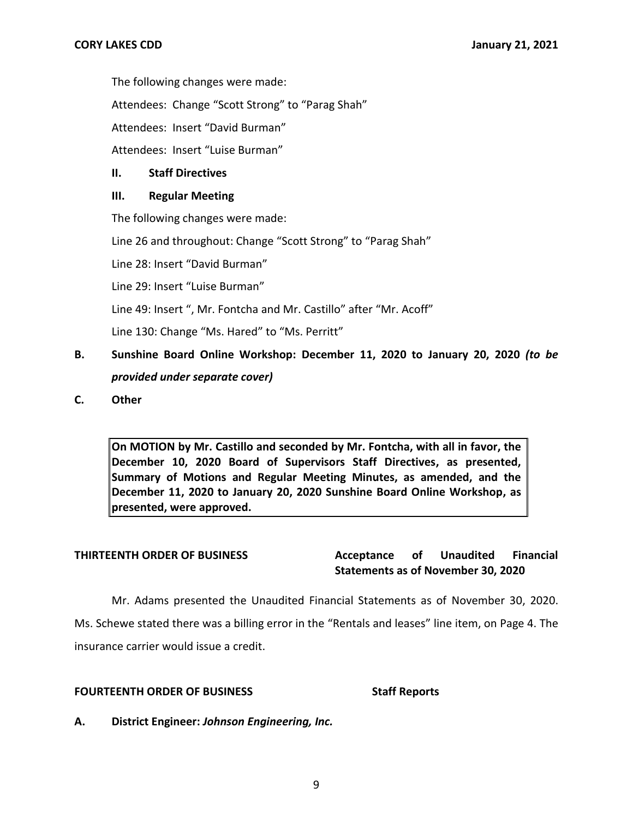The following changes were made:

Attendees: Change "Scott Strong" to "Parag Shah"

Attendees: Insert "David Burman"

Attendees: Insert "Luise Burman"

### **II. Staff Directives**

### **III. Regular Meeting**

The following changes were made:

Line 26 and throughout: Change "Scott Strong" to "Parag Shah"

Line 28: Insert "David Burman"

Line 29: Insert "Luise Burman"

Line 49: Insert ", Mr. Fontcha and Mr. Castillo" after "Mr. Acoff"

Line 130: Change "Ms. Hared" to "Ms. Perritt"

- **B. Sunshine Board Online Workshop: December 11, 2020 to January 20, 2020** *(to be provided under separate cover)*
- **C. Other**

**On MOTION by Mr. Castillo and seconded by Mr. Fontcha, with all in favor, the December 10, 2020 Board of Supervisors Staff Directives, as presented, Summary of Motions and Regular Meeting Minutes, as amended, and the December 11, 2020 to January 20, 2020 Sunshine Board Online Workshop, as presented, were approved.**

**THIRTEENTH ORDER OF BUSINESS Acceptance of Unaudited Financial Statements as of November 30, 2020**

Mr. Adams presented the Unaudited Financial Statements as of November 30, 2020. Ms. Schewe stated there was a billing error in the "Rentals and leases" line item, on Page 4. The insurance carrier would issue a credit.

### **FOURTEENTH ORDER OF BUSINESS Staff Reports**

**A. District Engineer:** *Johnson Engineering, Inc.*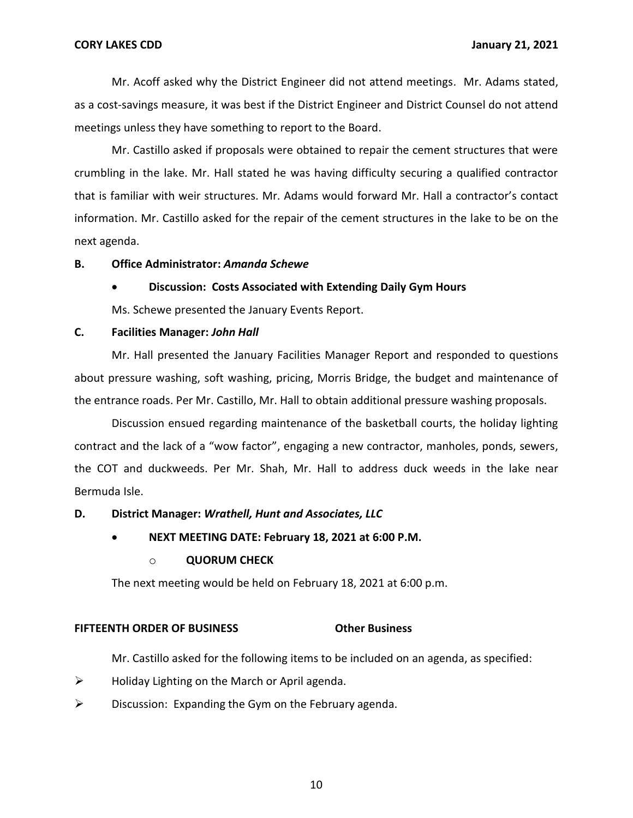Mr. Acoff asked why the District Engineer did not attend meetings. Mr. Adams stated, as a cost-savings measure, it was best if the District Engineer and District Counsel do not attend meetings unless they have something to report to the Board.

Mr. Castillo asked if proposals were obtained to repair the cement structures that were crumbling in the lake. Mr. Hall stated he was having difficulty securing a qualified contractor that is familiar with weir structures. Mr. Adams would forward Mr. Hall a contractor's contact information. Mr. Castillo asked for the repair of the cement structures in the lake to be on the next agenda.

### **B. Office Administrator:** *Amanda Schewe*

### • **Discussion: Costs Associated with Extending Daily Gym Hours**

Ms. Schewe presented the January Events Report.

### **C. Facilities Manager:** *John Hall*

Mr. Hall presented the January Facilities Manager Report and responded to questions about pressure washing, soft washing, pricing, Morris Bridge, the budget and maintenance of the entrance roads. Per Mr. Castillo, Mr. Hall to obtain additional pressure washing proposals.

Discussion ensued regarding maintenance of the basketball courts, the holiday lighting contract and the lack of a "wow factor", engaging a new contractor, manholes, ponds, sewers, the COT and duckweeds. Per Mr. Shah, Mr. Hall to address duck weeds in the lake near Bermuda Isle.

### **D. District Manager:** *Wrathell, Hunt and Associates, LLC*

### • **NEXT MEETING DATE: February 18, 2021 at 6:00 P.M.**

### o **QUORUM CHECK**

The next meeting would be held on February 18, 2021 at 6:00 p.m.

### **FIFTEENTH ORDER OF BUSINESS Other Business**

Mr. Castillo asked for the following items to be included on an agenda, as specified:

- $\triangleright$  Holiday Lighting on the March or April agenda.
- $\triangleright$  Discussion: Expanding the Gym on the February agenda.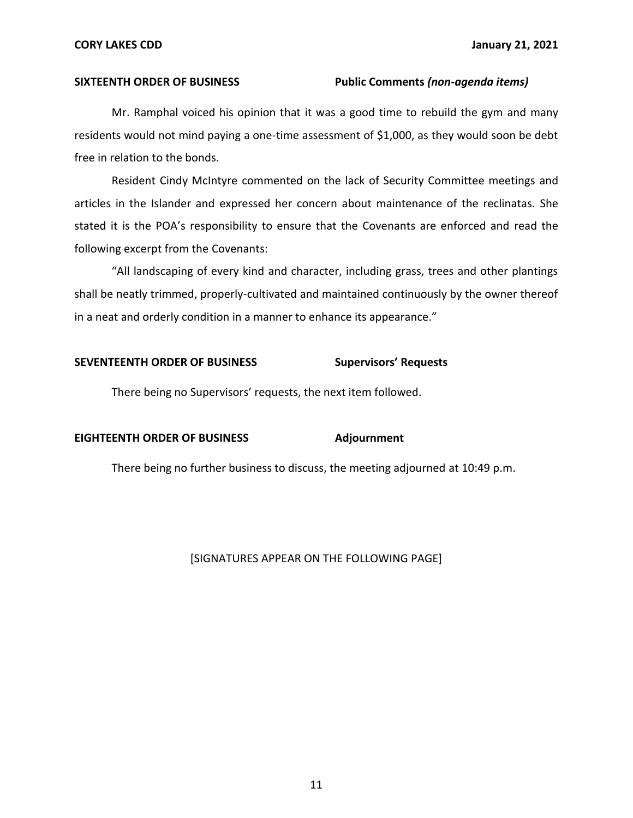### **SIXTEENTH ORDER OF BUSINESS Public Comments** *(non-agenda items)*

Mr. Ramphal voiced his opinion that it was a good time to rebuild the gym and many residents would not mind paying a one-time assessment of \$1,000, as they would soon be debt free in relation to the bonds.

Resident Cindy McIntyre commented on the lack of Security Committee meetings and articles in the Islander and expressed her concern about maintenance of the reclinatas. She stated it is the POA's responsibility to ensure that the Covenants are enforced and read the following excerpt from the Covenants:

"All landscaping of every kind and character, including grass, trees and other plantings shall be neatly trimmed, properly-cultivated and maintained continuously by the owner thereof in a neat and orderly condition in a manner to enhance its appearance."

### **SEVENTEENTH ORDER OF BUSINESS Supervisors' Requests**

There being no Supervisors' requests, the next item followed.

### **EIGHTEENTH ORDER OF BUSINESS Adjournment**

There being no further business to discuss, the meeting adjourned at 10:49 p.m.

### [SIGNATURES APPEAR ON THE FOLLOWING PAGE]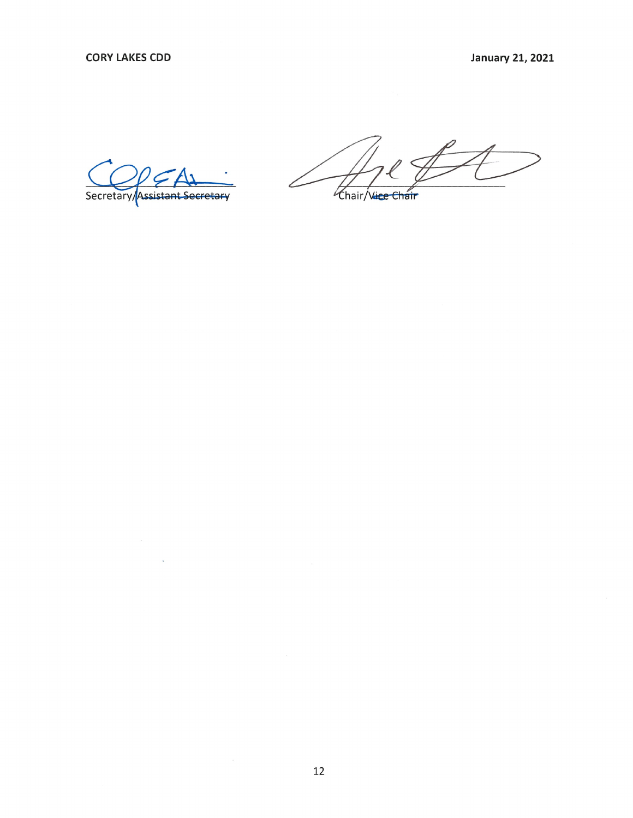Secretary/Assistant Secretary

Chair/Vice Chair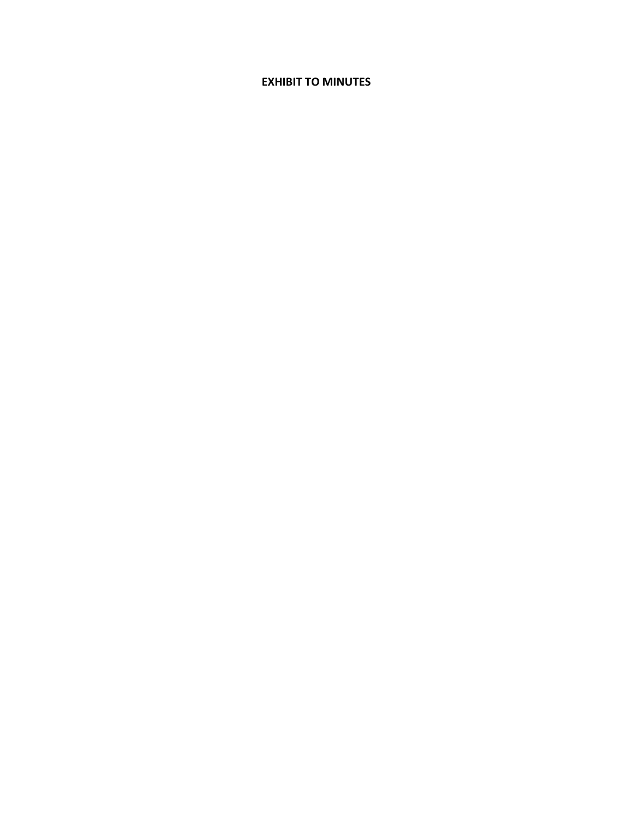### **EXHIBIT TO MINUTES**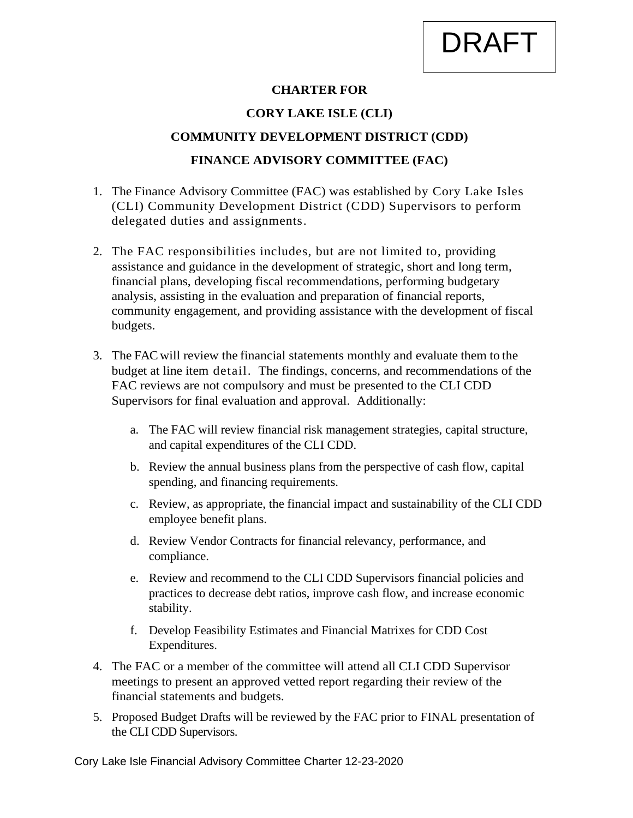# DRAFT

### **CHARTER FOR**

### **CORY LAKE ISLE (CLI)**

### **COMMUNITY DEVELOPMENT DISTRICT (CDD)**

### **FINANCE ADVISORY COMMITTEE (FAC)**

- 1. The Finance Advisory Committee (FAC) was established by Cory Lake Isles (CLI) Community Development District (CDD) Supervisors to perform delegated duties and assignments.
- 2. The FAC responsibilities includes, but are not limited to, providing assistance and guidance in the development of strategic, short and long term, financial plans, developing fiscal recommendations, performing budgetary analysis, assisting in the evaluation and preparation of financial reports, community engagement, and providing assistance with the development of fiscal budgets.
- 3. The FAC will review the financial statements monthly and evaluate them to the budget at line item detail. The findings, concerns, and recommendations of the FAC reviews are not compulsory and must be presented to the CLI CDD Supervisors for final evaluation and approval. Additionally:
	- a. The FAC will review financial risk management strategies, capital structure, and capital expenditures of the CLI CDD.
	- b. Review the annual business plans from the perspective of cash flow, capital spending, and financing requirements.
	- c. Review, as appropriate, the financial impact and sustainability of the CLI CDD employee benefit plans.
	- d. Review Vendor Contracts for financial relevancy, performance, and compliance.
	- e. Review and recommend to the CLI CDD Supervisors financial policies and practices to decrease debt ratios, improve cash flow, and increase economic stability.
	- f. Develop Feasibility Estimates and Financial Matrixes for CDD Cost Expenditures.
- 4. The FAC or a member of the committee will attend all CLI CDD Supervisor meetings to present an approved vetted report regarding their review of the financial statements and budgets.
- 5. Proposed Budget Drafts will be reviewed by the FAC prior to FINAL presentation of the CLI CDD Supervisors.

Cory Lake Isle Financial Advisory Committee Charter 12-23-2020